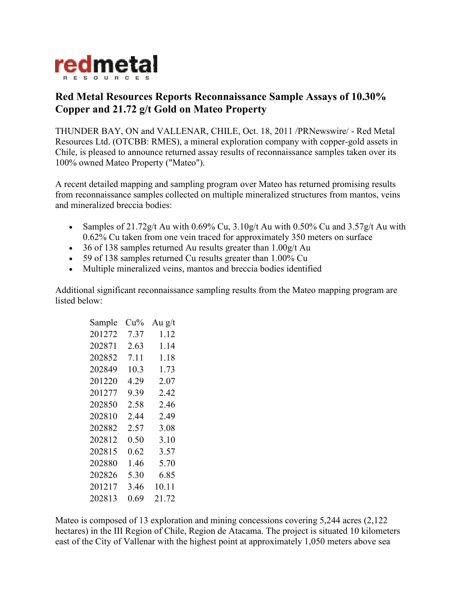

## **Red Metal Resources Reports Reconnaissance Sample Assays of 10.30% Copper and 21.72 g/t Gold on Mateo Property**

THUNDER BAY, ON and VALLENAR, CHILE, Oct. 18, 2011 /PRNewswire/ - Red Metal Resources Ltd. (OTCBB: RMES), a mineral exploration company with copper-gold assets in Chile, is pleased to announce returned assay results of reconnaissance samples taken over its 100% owned Mateo Property ("Mateo").

A recent detailed mapping and sampling program over Mateo has returned promising results from reconnaissance samples collected on multiple mineralized structures from mantos, veins and mineralized breccia bodies:

- Samples of  $21.72g/t$  Au with 0.69% Cu,  $3.10g/t$  Au with 0.50% Cu and  $3.57g/t$  Au with 0.62% Cu taken from one vein traced for approximately 350 meters on surface
- 36 of 138 samples returned Au results greater than 1.00g/t Au
- 59 of 138 samples returned Cu results greater than 1.00% Cu
- Multiple mineralized veins, mantos and breccia bodies identified

Additional significant reconnaissance sampling results from the Mateo mapping program are listed below:

| Sample | Cu%  | Au $g/t$ |
|--------|------|----------|
| 201272 | 7.37 | 1.12     |
| 202871 | 2.63 | 1.14     |
| 202852 | 7.11 | 1.18     |
| 202849 | 10.3 | 1.73     |
| 201220 | 4.29 | 2.07     |
| 201277 | 9.39 | 242      |
| 202850 | 2.58 | 246      |
| 202810 | 244  | 2.49     |
| 202882 | 2.57 | 3.08     |
| 202812 | 0.50 | 3.10     |
| 202815 | 0.62 | 3.57     |
| 202880 | 1.46 | 5.70     |
| 202826 | 5.30 | 6.85     |
| 201217 | 346  | 10.11    |
| 202813 | 0.69 | 21.72    |

Mateo is composed of 13 exploration and mining concessions covering 5,244 acres (2,122 hectares) in the III Region of Chile, Region de Atacama. The project is situated 10 kilometers east of the City of Vallenar with the highest point at approximately 1,050 meters above sea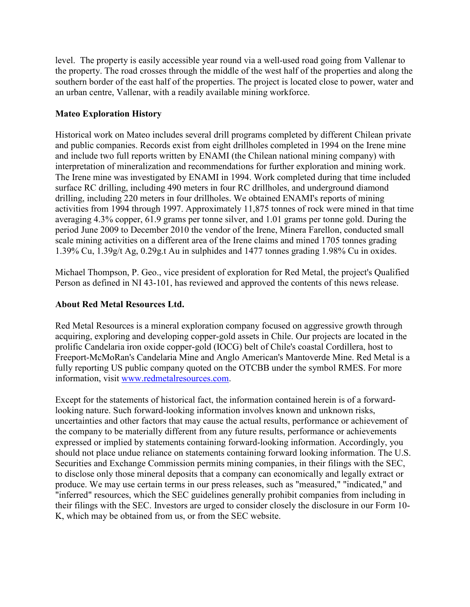level. The property is easily accessible year round via a well-used road going from Vallenar to the property. The road crosses through the middle of the west half of the properties and along the southern border of the east half of the properties. The project is located close to power, water and an urban centre, Vallenar, with a readily available mining workforce.

## **Mateo Exploration History**

Historical work on Mateo includes several drill programs completed by different Chilean private and public companies. Records exist from eight drillholes completed in 1994 on the Irene mine and include two full reports written by ENAMI (the Chilean national mining company) with interpretation of mineralization and recommendations for further exploration and mining work. The Irene mine was investigated by ENAMI in 1994. Work completed during that time included surface RC drilling, including 490 meters in four RC drillholes, and underground diamond drilling, including 220 meters in four drillholes. We obtained ENAMI's reports of mining activities from 1994 through 1997. Approximately 11,875 tonnes of rock were mined in that time averaging 4.3% copper, 61.9 grams per tonne silver, and 1.01 grams per tonne gold. During the period June 2009 to December 2010 the vendor of the Irene, Minera Farellon, conducted small scale mining activities on a different area of the Irene claims and mined 1705 tonnes grading 1.39% Cu, 1.39g/t Ag, 0.29g.t Au in sulphides and 1477 tonnes grading 1.98% Cu in oxides.

Michael Thompson, P. Geo., vice president of exploration for Red Metal, the project's Qualified Person as defined in NI 43-101, has reviewed and approved the contents of this news release.

## **About Red Metal Resources Ltd.**

Red Metal Resources is a mineral exploration company focused on aggressive growth through acquiring, exploring and developing copper-gold assets in Chile. Our projects are located in the prolific Candelaria iron oxide copper-gold (IOCG) belt of Chile's coastal Cordillera, host to Freeport-McMoRan's Candelaria Mine and Anglo American's Mantoverde Mine. Red Metal is a fully reporting US public company quoted on the OTCBB under the symbol RMES. For more information, visit www.redmetalresources.com.

Except for the statements of historical fact, the information contained herein is of a forwardlooking nature. Such forward-looking information involves known and unknown risks, uncertainties and other factors that may cause the actual results, performance or achievement of the company to be materially different from any future results, performance or achievements expressed or implied by statements containing forward-looking information. Accordingly, you should not place undue reliance on statements containing forward looking information. The U.S. Securities and Exchange Commission permits mining companies, in their filings with the SEC, to disclose only those mineral deposits that a company can economically and legally extract or produce. We may use certain terms in our press releases, such as "measured," "indicated," and "inferred" resources, which the SEC guidelines generally prohibit companies from including in their filings with the SEC. Investors are urged to consider closely the disclosure in our Form 10- K, which may be obtained from us, or from the SEC website.